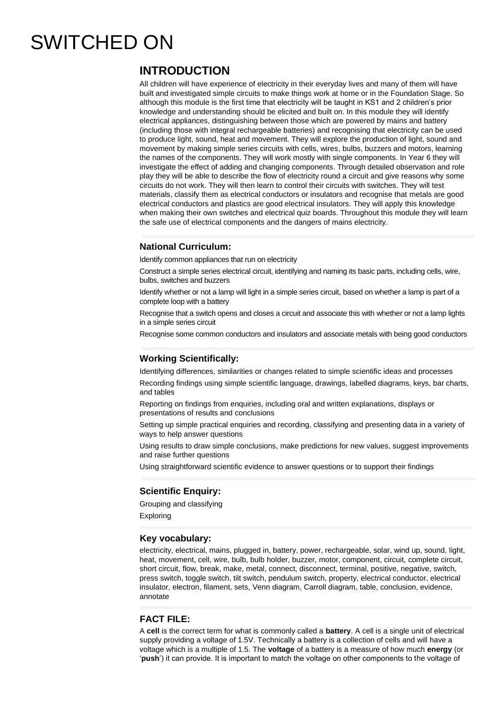# SWITCHED ON

## **INTRODUCTION**

All children will have experience of electricity in their everyday lives and many of them will have built and investigated simple circuits to make things work at home or in the Foundation Stage. So although this module is the first time that electricity will be taught in KS1 and 2 children's prior knowledge and understanding should be elicited and built on. In this module they will identify electrical appliances, distinguishing between those which are powered by mains and battery (including those with integral rechargeable batteries) and recognising that electricity can be used to produce light, sound, heat and movement. They will explore the production of light, sound and movement by making simple series circuits with cells, wires, bulbs, buzzers and motors, learning the names of the components. They will work mostly with single components. In Year 6 they will investigate the effect of adding and changing components. Through detailed observation and role play they will be able to describe the flow of electricity round a circuit and give reasons why some circuits do not work. They will then learn to control their circuits with switches. They will test materials, classify them as electrical conductors or insulators and recognise that metals are good electrical conductors and plastics are good electrical insulators. They will apply this knowledge when making their own switches and electrical quiz boards. Throughout this module they will learn the safe use of electrical components and the dangers of mains electricity.

#### **National Curriculum:**

Identify common appliances that run on electricity

Construct a simple series electrical circuit, identifying and naming its basic parts, including cells, wire, bulbs, switches and buzzers

Identify whether or not a lamp will light in a simple series circuit, based on whether a lamp is part of a complete loop with a battery

Recognise that a switch opens and closes a circuit and associate this with whether or not a lamp lights in a simple series circuit

Recognise some common conductors and insulators and associate metals with being good conductors

#### **Working Scientifically:**

Identifying differences, similarities or changes related to simple scientific ideas and processes

Recording findings using simple scientific language, drawings, labelled diagrams, keys, bar charts, and tables

Reporting on findings from enquiries, including oral and written explanations, displays or presentations of results and conclusions

Setting up simple practical enquiries and recording, classifying and presenting data in a variety of ways to help answer questions

Using results to draw simple conclusions, make predictions for new values, suggest improvements and raise further questions

Using straightforward scientific evidence to answer questions or to support their findings

### **Scientific Enquiry:**

Grouping and classifying Exploring

#### **Key vocabulary:**

electricity, electrical, mains, plugged in, battery, power, rechargeable, solar, wind up, sound, light, heat, movement, cell, wire, bulb, bulb holder, buzzer, motor, component, circuit, complete circuit, short circuit, flow, break, make, metal, connect, disconnect, terminal, positive, negative, switch, press switch, toggle switch, tilt switch, pendulum switch, property, electrical conductor, electrical insulator, electron, filament, sets, Venn diagram, Carroll diagram, table, conclusion, evidence, annotate

#### **FACT FILE:**

A **cell** is the correct term for what is commonly called a **battery**. A cell is a single unit of electrical supply providing a voltage of 1.5V. Technically a battery is a collection of cells and will have a voltage which is a multiple of 1.5. The **voltage** of a battery is a measure of how much **energy** (or '**push**') it can provide. It is important to match the voltage on other components to the voltage of